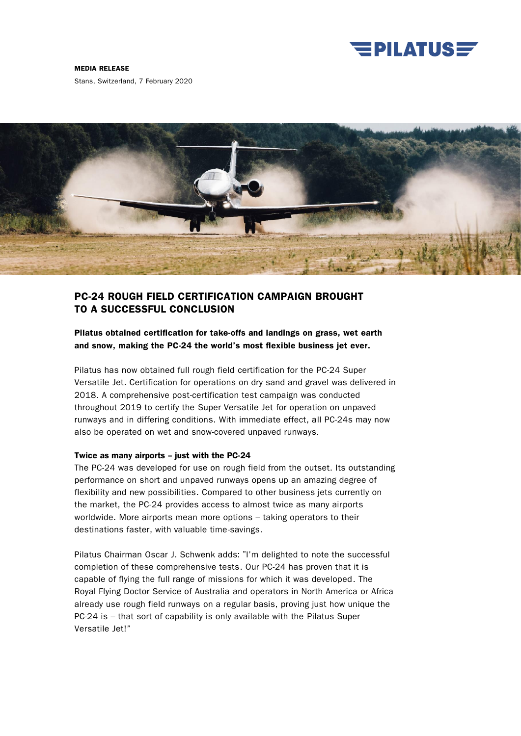

MEDIA RELEASE

Stans, Switzerland, 7 February 2020



# PC-24 ROUGH FIELD CERTIFICATION CAMPAIGN BROUGHT TO A SUCCESSFUL CONCLUSION

Pilatus obtained certification for take-offs and landings on grass, wet earth and snow, making the PC-24 the world's most flexible business jet ever.

Pilatus has now obtained full rough field certification for the PC-24 Super Versatile Jet. Certification for operations on dry sand and gravel was delivered in 2018. A comprehensive post-certification test campaign was conducted throughout 2019 to certify the Super Versatile Jet for operation on unpaved runways and in differing conditions. With immediate effect, all PC-24s may now also be operated on wet and snow-covered unpaved runways.

#### Twice as many airports - just with the PC-24

The PC-24 was developed for use on rough field from the outset. Its outstanding performance on short and unpaved runways opens up an amazing degree of flexibility and new possibilities. Compared to other business jets currently on the market, the PC-24 provides access to almost twice as many airports worldwide. More airports mean more options – taking operators to their destinations faster, with valuable time-savings.

Pilatus Chairman Oscar J. Schwenk adds: "I'm delighted to note the successful completion of these comprehensive tests. Our PC-24 has proven that it is capable of flying the full range of missions for which it was developed. The Royal Flying Doctor Service of Australia and operators in North America or Africa already use rough field runways on a regular basis, proving just how unique the PC-24 is – that sort of capability is only available with the Pilatus Super Versatile Jet!"